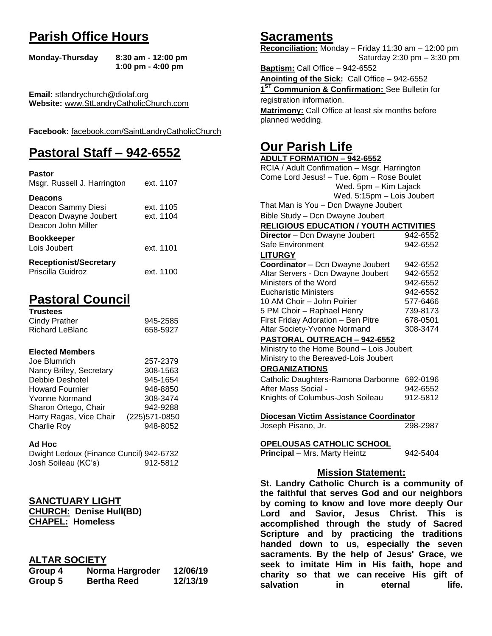# **Parish Office Hours**

```
Monday-Thursday 8:30 am - 12:00 pm
       1:00 pm - 4:00 pm
```
**Email:** stlandrychurch@diolaf.org **Website:** [www.StLandryCatholicChurch.com](http://www.stlandrycatholicchurch.com/)

**Facebook:** [facebook.com/SaintLandryCatholicChurch](http://facebook.com/SaintLandryCatholicChurch)

# **Pastoral Staff – 942-6552**

| <b>Pastor</b><br>Msgr. Russell J. Harrington                                        | ext. 1107              |
|-------------------------------------------------------------------------------------|------------------------|
| <b>Deacons</b><br>Deacon Sammy Diesi<br>Deacon Dwayne Joubert<br>Deacon John Miller | ext. 1105<br>ext. 1104 |
| <b>Bookkeeper</b><br>Lois Joubert                                                   | ext. 1101              |
| <b>Receptionist/Secretary</b><br>Priscilla Guidroz                                  | ext. 1100              |

# **Pastoral Council**

| <b>Trustees</b> |          |
|-----------------|----------|
| Cindy Prather   | 945-2585 |
| Richard LeBlanc | 658-5927 |

#### **Elected Members**

| Joe Blumrich            | 257-2379       |
|-------------------------|----------------|
| Nancy Briley, Secretary | 308-1563       |
| Debbie Deshotel         | 945-1654       |
| <b>Howard Fournier</b>  | 948-8850       |
| <b>Yvonne Normand</b>   | 308-3474       |
| Sharon Ortego, Chair    | 942-9288       |
| Harry Ragas, Vice Chair | (225) 571-0850 |
| Charlie Roy             | 948-8052       |

#### **Ad Hoc**

| Dwight Ledoux (Finance Cuncil) 942-6732 |          |
|-----------------------------------------|----------|
| Josh Soileau (KC's)                     | 912-5812 |

### **SANCTUARY LIGHT**

**CHURCH: Denise Hull(BD) CHAPEL: Homeless**

### **ALTAR SOCIETY**

| Group 4 | Norma Hargroder    | 12/06/19 |
|---------|--------------------|----------|
| Group 5 | <b>Bertha Reed</b> | 12/13/19 |

## **Sacraments**

**Reconciliation:** Monday – Friday 11:30 am – 12:00 pm Saturday 2:30 pm – 3:30 pm

**Baptism:** Call Office – 942-6552 **Anointing of the Sick:** Call Office – 942-6552 **1 ST Communion & Confirmation:** See Bulletin for registration information. **Matrimony:** Call Office at least six months before planned wedding.

# **Our Parish Life**

| <b>ADULT FORMATION - 942-6552</b>              |                   |
|------------------------------------------------|-------------------|
| RCIA / Adult Confirmation - Msgr. Harrington   |                   |
| Come Lord Jesus! - Tue. 6pm - Rose Boulet      |                   |
| Wed. 5pm - Kim Lajack                          |                   |
| Wed. 5:15pm - Lois Joubert                     |                   |
| That Man is You - Dcn Dwayne Joubert           |                   |
| Bible Study - Dcn Dwayne Joubert               |                   |
| <b>RELIGIOUS EDUCATION / YOUTH ACTIVITIES</b>  |                   |
| Director - Dcn Dwayne Joubert                  | 942-6552          |
| Safe Environment                               | 942-6552          |
| <b>LITURGY</b>                                 |                   |
| Coordinator - Dcn Dwayne Joubert               | 942-6552          |
| Altar Servers - Dcn Dwayne Joubert             | 942-6552          |
| Ministers of the Word                          | 942-6552          |
| <b>Eucharistic Ministers</b>                   | 942-6552          |
| 10 AM Choir - John Poirier                     | 577-6466          |
| 5 PM Choir - Raphael Henry                     | 739-8173          |
| First Friday Adoration - Ben Pitre             | 678-0501          |
| Altar Society-Yvonne Normand                   | 308-3474          |
| <b>PASTORAL OUTREACH - 942-6552</b>            |                   |
| Ministry to the Home Bound - Lois Joubert      |                   |
| Ministry to the Bereaved-Lois Joubert          |                   |
| <b>ORGANIZATIONS</b>                           |                   |
| Catholic Daughters-Ramona Darbonne 692-0196    |                   |
| After Mass Social -                            | 942-6552          |
| Knights of Columbus-Josh Soileau               | 912-5812          |
| Diocesan Victim Assistance Coordinator         |                   |
| Joseph Pisano, Jr.                             | 298-2987          |
|                                                |                   |
| <u>OPELOUSAS CATHOLIC SCHOOL</u>               |                   |
| Principal - Mrs. Marty Heintz                  | 942-5404          |
| <b>Mission Statement:</b>                      |                   |
| St. Landry Catholic Church is a community of   |                   |
| the faithful that serves God and our neighbors |                   |
| by coming to know and love more deeply Our     |                   |
| Lord and<br>Savior, Jesus Christ.              | <b>This</b><br>is |
| accomplished through the study of Sacred       |                   |
| Scripture and by practicing the traditions     |                   |
| handed down to us, especially the seven        |                   |
| sacraments. By the help of Jesus' Grace, we    |                   |
|                                                |                   |

**seek to imitate Him in His faith, hope and charity so that we can receive His gift of salvation** in eternal life.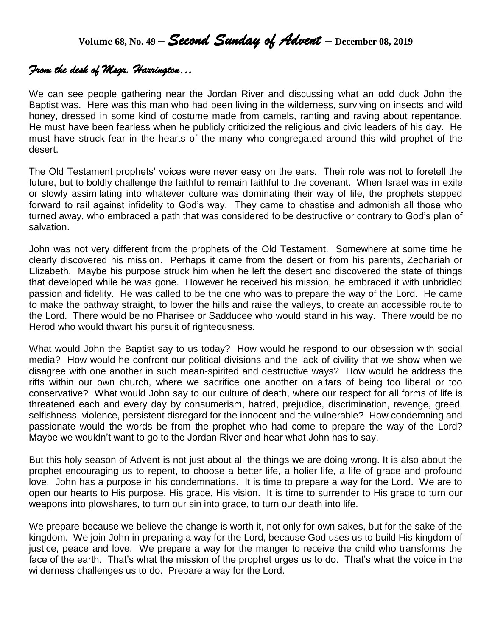**Volume 68, No. 49 –** *Second Sunday of Advent* **– December 08, <sup>2019</sup>**

## *From the desk of Msgr. Harrington…*

We can see people gathering near the Jordan River and discussing what an odd duck John the Baptist was. Here was this man who had been living in the wilderness, surviving on insects and wild honey, dressed in some kind of costume made from camels, ranting and raving about repentance. He must have been fearless when he publicly criticized the religious and civic leaders of his day. He must have struck fear in the hearts of the many who congregated around this wild prophet of the desert.

The Old Testament prophets' voices were never easy on the ears. Their role was not to foretell the future, but to boldly challenge the faithful to remain faithful to the covenant. When Israel was in exile or slowly assimilating into whatever culture was dominating their way of life, the prophets stepped forward to rail against infidelity to God's way. They came to chastise and admonish all those who turned away, who embraced a path that was considered to be destructive or contrary to God's plan of salvation.

John was not very different from the prophets of the Old Testament. Somewhere at some time he clearly discovered his mission. Perhaps it came from the desert or from his parents, Zechariah or Elizabeth. Maybe his purpose struck him when he left the desert and discovered the state of things that developed while he was gone. However he received his mission, he embraced it with unbridled passion and fidelity. He was called to be the one who was to prepare the way of the Lord. He came to make the pathway straight, to lower the hills and raise the valleys, to create an accessible route to the Lord. There would be no Pharisee or Sadducee who would stand in his way. There would be no Herod who would thwart his pursuit of righteousness.

What would John the Baptist say to us today? How would he respond to our obsession with social media? How would he confront our political divisions and the lack of civility that we show when we disagree with one another in such mean-spirited and destructive ways? How would he address the rifts within our own church, where we sacrifice one another on altars of being too liberal or too conservative? What would John say to our culture of death, where our respect for all forms of life is threatened each and every day by consumerism, hatred, prejudice, discrimination, revenge, greed, selfishness, violence, persistent disregard for the innocent and the vulnerable? How condemning and passionate would the words be from the prophet who had come to prepare the way of the Lord? Maybe we wouldn't want to go to the Jordan River and hear what John has to say.

But this holy season of Advent is not just about all the things we are doing wrong. It is also about the prophet encouraging us to repent, to choose a better life, a holier life, a life of grace and profound love. John has a purpose in his condemnations. It is time to prepare a way for the Lord. We are to open our hearts to His purpose, His grace, His vision. It is time to surrender to His grace to turn our weapons into plowshares, to turn our sin into grace, to turn our death into life.

We prepare because we believe the change is worth it, not only for own sakes, but for the sake of the kingdom. We join John in preparing a way for the Lord, because God uses us to build His kingdom of justice, peace and love. We prepare a way for the manger to receive the child who transforms the face of the earth. That's what the mission of the prophet urges us to do. That's what the voice in the wilderness challenges us to do. Prepare a way for the Lord.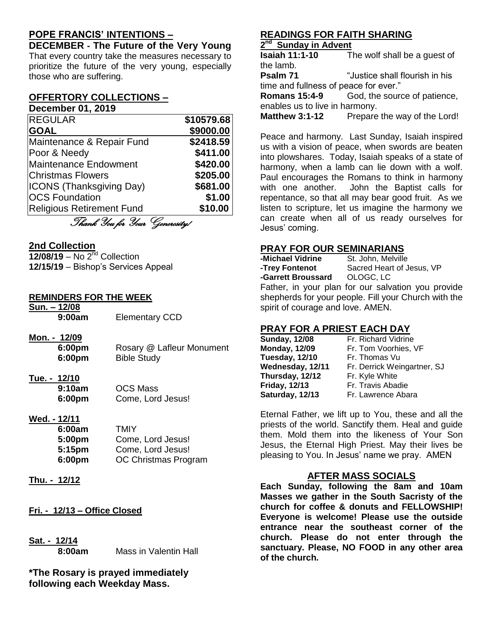## **POPE FRANCIS' INTENTIONS –**

**DECEMBER - The Future of the Very Young** That every country take the measures necessary to prioritize the future of the very young, especially those who are suffering.

#### **OFFERTORY COLLECTIONS – December 01, 2019**

| <b>REGULAR</b>                   | \$10579.68 |
|----------------------------------|------------|
| <b>GOAL</b>                      | \$9000.00  |
| Maintenance & Repair Fund        | \$2418.59  |
| Poor & Needy                     | \$411.00   |
| <b>Maintenance Endowment</b>     | \$420.00   |
| <b>Christmas Flowers</b>         | \$205.00   |
| <b>ICONS (Thanksgiving Day)</b>  | \$681.00   |
| <b>OCS Foundation</b>            | \$1.00     |
| <b>Religious Retirement Fund</b> | \$10.00    |
| Thank You for Your Generosity!   |            |
|                                  |            |

### **2nd Collection**

**12/08/19** – No 2nd Collection **12/15/19** – Bishop's Services Appeal

#### **REMINDERS FOR THE WEEK**

| Sun. - 12/08<br>9:00am           | <b>Elementary CCD</b>                  |
|----------------------------------|----------------------------------------|
| Mon. - 12/09<br>6:00pm<br>6:00pm | Rosary @ Lafleur<br><b>Bible Study</b> |

## **Tue. - 12/10**

**9:10am** OCS Mass **6:00pm** Come, Lord Jesus!

**Monument** 

#### **Wed. - 12/11**

| 6:00am | <b>TMIY</b>          |
|--------|----------------------|
| 5:00pm | Come, Lord Jesus!    |
| 5:15pm | Come, Lord Jesus!    |
| 6:00pm | OC Christmas Program |

- **Thu. - 12/12**
- **Fri. - 12/13 – Office Closed**
- **Sat. - 12/14**

**8:00am** Mass in Valentin Hall

**\*The Rosary is prayed immediately following each Weekday Mass.**

## **READINGS FOR FAITH SHARING**

#### **2 nd Sunday in Advent**

**Isaiah 11:1-10** The wolf shall be a guest of the lamb. **Psalm 71** "Justice shall flourish in his time and fullness of peace for ever."

**Romans 15:4-9** God, the source of patience, enables us to live in harmony.

**Matthew 3:1-12** Prepare the way of the Lord!

Peace and harmony. Last Sunday, Isaiah inspired us with a vision of peace, when swords are beaten into plowshares. Today, Isaiah speaks of a state of harmony, when a lamb can lie down with a wolf. Paul encourages the Romans to think in harmony with one another. John the Baptist calls for repentance, so that all may bear good fruit. As we listen to scripture, let us imagine the harmony we can create when all of us ready ourselves for Jesus' coming.

## **PRAY FOR OUR SEMINARIANS**

| -Michael Vidrine   | St. John, Melville                                               |
|--------------------|------------------------------------------------------------------|
| -Trey Fontenot     | Sacred Heart of Jesus, VP                                        |
| -Garrett Broussard | OLOGC, LC                                                        |
|                    | Forth and the component and four action and the theory component |

Father, in your plan for our salvation you provide shepherds for your people. Fill your Church with the spirit of courage and love. AMEN.

## **PRAY FOR A PRIEST EACH DAY**

| <b>Sunday, 12/08</b> |  |
|----------------------|--|
| <b>Monday, 12/09</b> |  |
| Tuesday, 12/10       |  |
| Wednesday, 12/11     |  |
| Thursday, 12/12      |  |
| <b>Friday, 12/13</b> |  |
| Saturday, 12/13      |  |
|                      |  |

**Sunday, 12/08** Fr. Richard Vidrine **Monday, 12/09** Fr. Tom Voorhies, VF Fr. Thomas Vu **Wednesday, 12/11** Fr. Derrick Weingartner, SJ **Fr. Kyle White Friday, 12/13** Fr. Travis Abadie **Fr. Lawrence Abara** 

Eternal Father, we lift up to You, these and all the priests of the world. Sanctify them. Heal and guide them. Mold them into the likeness of Your Son Jesus, the Eternal High Priest. May their lives be pleasing to You. In Jesus' name we pray. AMEN

### **AFTER MASS SOCIALS**

**Each Sunday, following the 8am and 10am Masses we gather in the South Sacristy of the church for coffee & donuts and FELLOWSHIP! Everyone is welcome! Please use the outside entrance near the southeast corner of the church. Please do not enter through the sanctuary. Please, NO FOOD in any other area of the church.**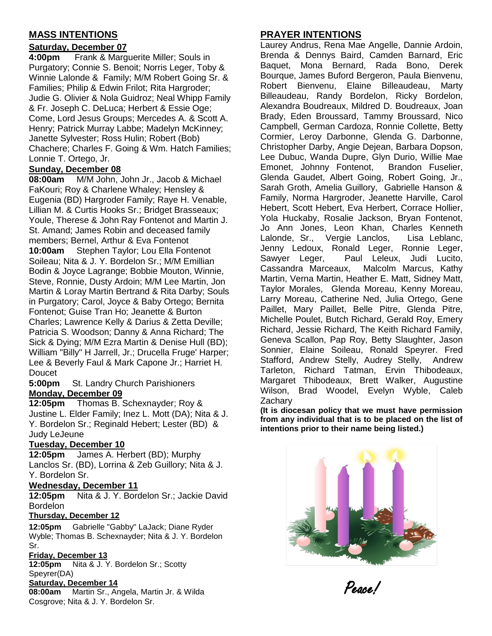## **MASS INTENTIONS**

## **Saturday, December 07**

**4:00pm** Frank & Marguerite Miller; Souls in Purgatory; Connie S. Benoit; Norris Leger, Toby & Winnie Lalonde & Family; M/M Robert Going Sr. & Families; Philip & Edwin Frilot; Rita Hargroder; Judie G. Olivier & Nola Guidroz; Neal Whipp Family & Fr. Joseph C. DeLuca; Herbert & Essie Oge; Come, Lord Jesus Groups; Mercedes A. & Scott A. Henry; Patrick Murray Labbe; Madelyn McKinney; Janette Sylvester; Ross Hulin; Robert (Bob) Chachere; Charles F. Going & Wm. Hatch Families; Lonnie T. Ortego, Jr.

### **Sunday, December 08**

**08:00am** M/M John, John Jr., Jacob & Michael FaKouri; Roy & Charlene Whaley; Hensley & Eugenia (BD) Hargroder Family; Raye H. Venable, Lillian M. & Curtis Hooks Sr.; Bridget Brasseaux; Youle, Therese & John Ray Fontenot and Martin J. St. Amand; James Robin and deceased family members; Bernel, Arthur & Eva Fontenot **10:00am** Stephen Taylor; Lou Ella Fontenot Soileau; Nita & J. Y. Bordelon Sr.; M/M Emillian Bodin & Joyce Lagrange; Bobbie Mouton, Winnie, Steve, Ronnie, Dusty Ardoin; M/M Lee Martin, Jon Martin & Loray Martin Bertrand & Rita Darby; Souls in Purgatory; Carol, Joyce & Baby Ortego; Bernita Fontenot; Guise Tran Ho; Jeanette & Burton Charles; Lawrence Kelly & Darius & Zetta Deville; Patricia S. Woodson; Danny & Anna Richard; The Sick & Dying; M/M Ezra Martin & Denise Hull (BD); William "Billy" H Jarrell, Jr.; Drucella Fruge' Harper; Lee & Beverly Faul & Mark Capone Jr.; Harriet H. Doucet

**5:00pm** St. Landry Church Parishioners **Monday, December 09**

**12:05pm** Thomas B. Schexnayder; Roy & Justine L. Elder Family; Inez L. Mott (DA); Nita & J. Y. Bordelon Sr.; Reginald Hebert; Lester (BD) & Judy LeJeune

### **Tuesday, December 10**

**12:05pm** James A. Herbert (BD); Murphy Lanclos Sr. (BD), Lorrina & Zeb Guillory; Nita & J. Y. Bordelon Sr.

#### **Wednesday, December 11**

**12:05pm** Nita & J. Y. Bordelon Sr.; Jackie David Bordelon

#### **Thursday, December 12**

**12:05pm** Gabrielle "Gabby" LaJack; Diane Ryder Wyble; Thomas B. Schexnayder; Nita & J. Y. Bordelon Sr.

#### **Friday, December 13**

**12:05pm** Nita & J. Y. Bordelon Sr.; Scotty Speyrer(DA)

#### **Saturday, December 14**

**08:00am** Martin Sr., Angela, Martin Jr. & Wilda Cosgrove; Nita & J. Y. Bordelon Sr.

## **PRAYER INTENTIONS**

Laurey Andrus, Rena Mae Angelle, Dannie Ardoin, Brenda & Dennys Baird, Camden Barnard, Eric Baquet, Mona Bernard, Rada Bono, Derek Bourque, James Buford Bergeron, Paula Bienvenu, Robert Bienvenu, Elaine Billeaudeau, Marty Billeaudeau, Randy Bordelon, Ricky Bordelon, Alexandra Boudreaux, Mildred D. Boudreaux, Joan Brady, Eden Broussard, Tammy Broussard, Nico Campbell, German Cardoza, Ronnie Collette, Betty Cormier, Leroy Darbonne, Glenda G. Darbonne, Christopher Darby, Angie Dejean, Barbara Dopson, Lee Dubuc, Wanda Dupre, Glyn Durio, Willie Mae Emonet, Johnny Fontenot, Brandon Fuselier, Glenda Gaudet, Albert Going, Robert Going, Jr., Sarah Groth, Amelia Guillory, Gabrielle Hanson & Family, Norma Hargroder, Jeanette Harville, Carol Hebert, Scott Hebert, Eva Herbert, Corrace Hollier, Yola Huckaby, Rosalie Jackson, Bryan Fontenot, Jo Ann Jones, Leon Khan, Charles Kenneth Lalonde, Sr., Vergie Lanclos, Lisa Leblanc, Jenny Ledoux, Ronald Leger, Ronnie Leger, Sawyer Leger, Paul Leleux, Judi Lucito, Cassandra Marceaux, Malcolm Marcus, Kathy Martin, Verna Martin, Heather E. Matt, Sidney Matt, Taylor Morales, Glenda Moreau, Kenny Moreau, Larry Moreau, Catherine Ned, Julia Ortego, Gene Paillet, Mary Paillet, Belle Pitre, Glenda Pitre, Michelle Poulet, Butch Richard, Gerald Roy, Emery Richard, Jessie Richard, The Keith Richard Family, Geneva Scallon, Pap Roy, Betty Slaughter, Jason Sonnier, Elaine Soileau, Ronald Speyrer. Fred Stafford, Andrew Stelly, Audrey Stelly, Andrew Tarleton, Richard Tatman, Ervin Thibodeaux, Margaret Thibodeaux, Brett Walker, Augustine Wilson, Brad Woodel, Evelyn Wyble, Caleb **Zacharv** 

**(It is diocesan policy that we must have permission from any individual that is to be placed on the list of intentions prior to their name being listed.)**



Peace!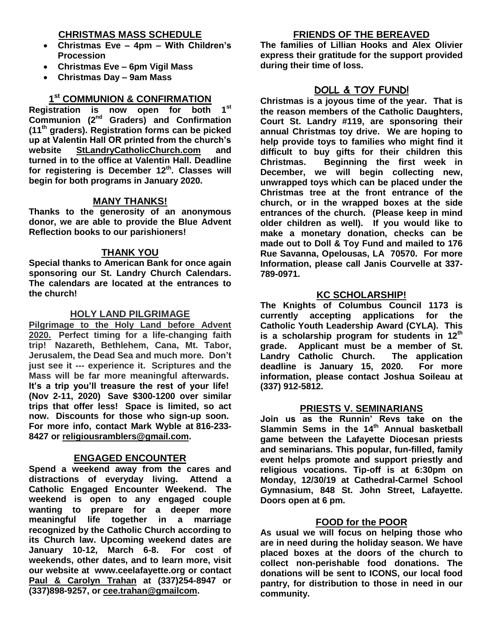### **CHRISTMAS MASS SCHEDULE**

- **Christmas Eve – 4pm – With Children's Procession**
- **Christmas Eve – 6pm Vigil Mass**
- **Christmas Day – 9am Mass**

## **1 st COMMUNION & CONFIRMATION**

**Registration is now open for both 1st Communion (2nd Graders) and Confirmation (11th graders). Registration forms can be picked up at Valentin Hall OR printed from the church's website StLandryCatholicChurch.com and turned in to the office at Valentin Hall. Deadline for registering is December 12th. Classes will begin for both programs in January 2020.**

#### **MANY THANKS!**

**Thanks to the generosity of an anonymous donor, we are able to provide the Blue Advent Reflection books to our parishioners!** 

#### **THANK YOU**

**Special thanks to American Bank for once again sponsoring our St. Landry Church Calendars. The calendars are located at the entrances to the church!**

#### **HOLY LAND PILGRIMAGE**

**Pilgrimage to the Holy Land before Advent 2020. Perfect timing for a life-changing faith trip! Nazareth, Bethlehem, Cana, Mt. Tabor, Jerusalem, the Dead Sea and much more. Don't just see it --- experience it. Scriptures and the Mass will be far more meaningful afterwards. It's a trip you'll treasure the rest of your life! (Nov 2-11, 2020) Save \$300-1200 over similar trips that offer less! Space is limited, so act now. Discounts for those who sign-up soon. For more info, contact Mark Wyble at 816-233- 8427 or [religiousramblers@gmail.com.](mailto:religiousramblers@gmail.com)**

#### **ENGAGED ENCOUNTER**

**Spend a weekend away from the cares and distractions of everyday living. Attend a Catholic Engaged Encounter Weekend. The weekend is open to any engaged couple wanting to prepare for a deeper more meaningful life together in a marriage recognized by the Catholic Church according to its Church law. Upcoming weekend dates are January 10-12, March 6-8. For cost of weekends, other dates, and to learn more, visit our website at www.ceelafayette.org or contact Paul & Carolyn Trahan at (337)254-8947 or (337)898-9257, or [cee.trahan@gmailcom.](mailto:cee.trahan@gmailcom)**

#### **FRIENDS OF THE BEREAVED**

**The families of Lillian Hooks and Alex Olivier express their gratitude for the support provided during their time of loss.** 

## **DOLL & TOY FUND!**

**Christmas is a joyous time of the year. That is the reason members of the Catholic Daughters, Court St. Landry #119, are sponsoring their annual Christmas toy drive. We are hoping to help provide toys to families who might find it difficult to buy gifts for their children this Christmas. Beginning the first week in December, we will begin collecting new, unwrapped toys which can be placed under the Christmas tree at the front entrance of the church, or in the wrapped boxes at the side entrances of the church. (Please keep in mind older children as well). If you would like to make a monetary donation, checks can be made out to Doll & Toy Fund and mailed to 176 Rue Savanna, Opelousas, LA 70570. For more Information, please call Janis Courvelle at 337- 789-0971.** 

#### **KC SCHOLARSHIP!**

**The Knights of Columbus Council 1173 is currently accepting applications for the Catholic Youth Leadership Award (CYLA). This is a scholarship program for students in 12th grade. Applicant must be a member of St. Landry Catholic Church. The application deadline is January 15, 2020. For more information, please contact Joshua Soileau at (337) 912-5812.**

#### **PRIESTS V. SEMINARIANS**

**Join us as the Runnin' Revs take on the Slammin Sems in the 14 th Annual basketball game between the Lafayette Diocesan priests and seminarians. This popular, fun-filled, family event helps promote and support priestly and religious vocations. Tip-off is at 6:30pm on Monday, 12/30/19 at Cathedral-Carmel School Gymnasium, 848 St. John Street, Lafayette. Doors open at 6 pm.** 

#### **FOOD for the POOR**

**As usual we will focus on helping those who are in need during the holiday season. We have placed boxes at the doors of the church to collect non-perishable food donations. The donations will be sent to ICONS, our local food pantry, for distribution to those in need in our community.**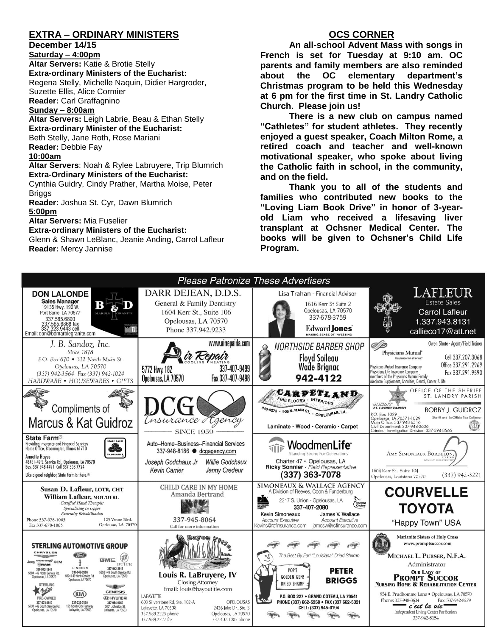## **EXTRA – ORDINARY MINISTERS**

#### **December 14/15**

**Saturday – 4:00pm** 

**Altar Servers:** Katie & Brotie Stelly **Extra-ordinary Ministers of the Eucharist:**  Regena Stelly, Michelle Naquin, Didier Hargroder, Suzette Ellis, Alice Cormier **Reader:** Carl Graffagnino

#### **Sunday – 8:00am**

**Altar Servers:** Leigh Labrie, Beau & Ethan Stelly **Extra-ordinary Minister of the Eucharist:** Beth Stelly, Jane Roth, Rose Mariani **Reader:** Debbie Fay **10:00am**

#### **Altar Servers**: Noah & Rylee Labruyere, Trip Blumrich **Extra-Ordinary Ministers of the Eucharist:**

Cynthia Guidry, Cindy Prather, Martha Moise, Peter Briggs

**Reader:** Joshua St. Cyr, Dawn Blumrich **5:00pm** 

**Altar Servers:** Mia Fuselier

#### **Extra-ordinary Ministers of the Eucharist:**

Glenn & Shawn LeBlanc, Jeanie Anding, Carrol Lafleur **Reader:** Mercy Jannise

### **OCS CORNER**

**An all-school Advent Mass with songs in French is set for Tuesday at 9:10 am. OC parents and family members are also reminded about the OC elementary department's Christmas program to be held this Wednesday at 6 pm for the first time in St. Landry Catholic Church. Please join us!**

**There is a new club on campus named "Cathletes" for student athletes. They recently enjoyed a guest speaker, Coach Milton Rome, a retired coach and teacher and well-known motivational speaker, who spoke about living the Catholic faith in school, in the community, and on the field.**

**Thank you to all of the students and families who contributed new books to the "Loving Liam Book Drive" in honor of 3-yearold Liam who received a lifesaving liver transplant at Ochsner Medical Center. The books will be given to Ochsner's Child Life Program.**